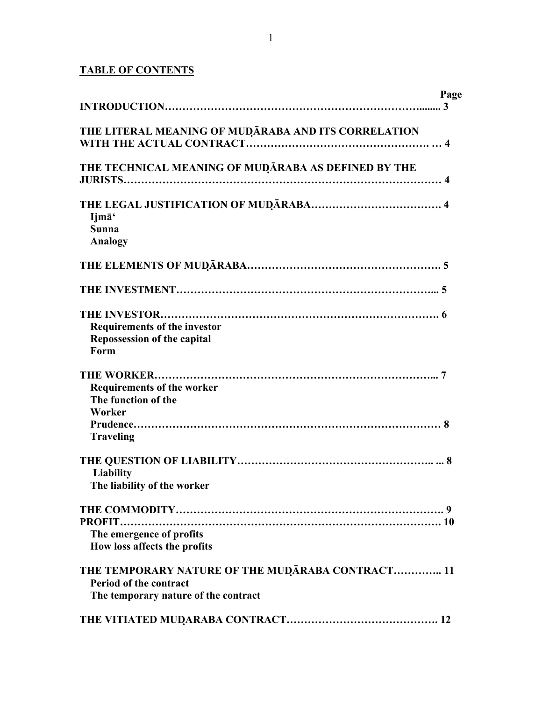## **TABLE OF CONTENTS**

|                                                                                                                    | Page |
|--------------------------------------------------------------------------------------------------------------------|------|
| THE LITERAL MEANING OF MUDARABA AND ITS CORRELATION                                                                |      |
| THE TECHNICAL MEANING OF MUDARABA AS DEFINED BY THE                                                                |      |
| Ijmā'<br><b>Sunna</b><br><b>Analogy</b>                                                                            |      |
|                                                                                                                    |      |
|                                                                                                                    |      |
| <b>Requirements of the investor</b><br><b>Repossession of the capital</b><br>Form                                  |      |
| <b>Requirements of the worker</b><br>The function of the<br>Worker<br><b>Traveling</b>                             |      |
| <b>Liability</b><br>The liability of the worker                                                                    |      |
| The emergence of profits<br>How loss affects the profits                                                           |      |
| THE TEMPORARY NATURE OF THE MUDĀRABA CONTRACT 11<br>Period of the contract<br>The temporary nature of the contract |      |
|                                                                                                                    |      |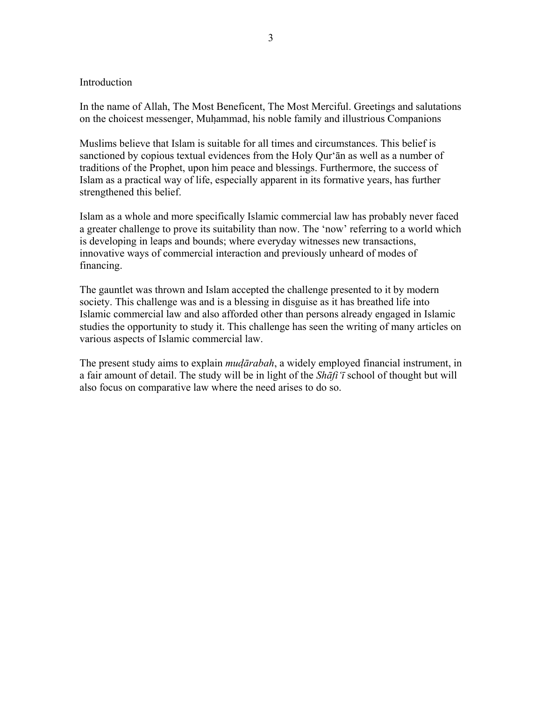#### **Introduction**

In the name of Allah, The Most Beneficent, The Most Merciful. Greetings and salutations on the choicest messenger, Muhammad, his noble family and illustrious Companions

Muslims believe that Islam is suitable for all times and circumstances. This belief is sanctioned by copious textual evidences from the Holy Qur'ān as well as a number of traditions of the Prophet, upon him peace and blessings. Furthermore, the success of Islam as a practical way of life, especially apparent in its formative years, has further strengthened this belief.

Islam as a whole and more specifically Islamic commercial law has probably never faced a greater challenge to prove its suitability than now. The 'now' referring to a world which is developing in leaps and bounds; where everyday witnesses new transactions, innovative ways of commercial interaction and previously unheard of modes of financing.

The gauntlet was thrown and Islam accepted the challenge presented to it by modern society. This challenge was and is a blessing in disguise as it has breathed life into Islamic commercial law and also afforded other than persons already engaged in Islamic studies the opportunity to study it. This challenge has seen the writing of many articles on various aspects of Islamic commercial law.

The present study aims to explain *mudārabah*, a widely employed financial instrument, in a fair amount of detail. The study will be in light of the *Shāfi'ī* school of thought but will also focus on comparative law where the need arises to do so.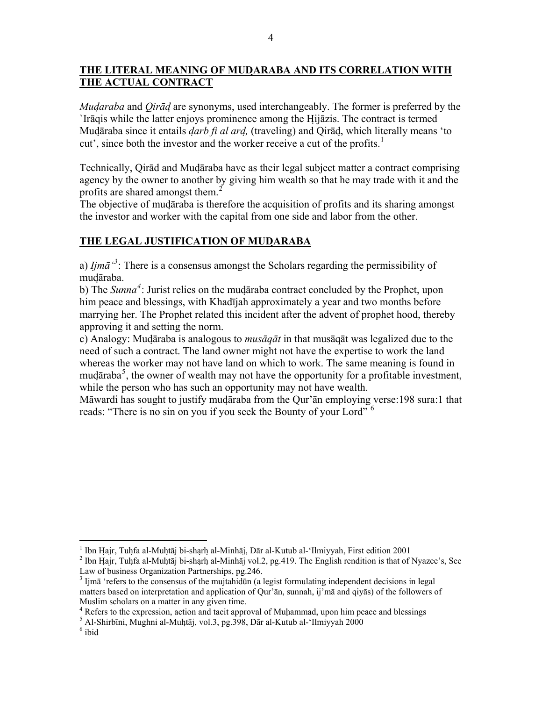## **THE LITERAL MEANING OF MUDARABA AND ITS CORRELATION WITH THE ACTUAL CONTRACT**

*Mudaraba* and *Qirād* are synonyms, used interchangeably. The former is preferred by the `Irāqis while the latter enjoys prominence among the Hijāzis. The contract is termed Mudāraba since it entails *darb fi al ard,* (traveling) and Qirād, which literally means 'to cut', since both the investor and the worker receive a cut of the profits.<sup>[1](#page-3-0)</sup>

Technically, Qirād and Mudāraba have as their legal subject matter a contract comprising agency by the owner to another by giving him wealth so that he may trade with it and the profits are shared amongst them.<sup>[2](#page-3-1)</sup>

The objective of mudāraba is therefore the acquisition of profits and its sharing amongst the investor and worker with the capital from one side and labor from the other.

## **THE LEGAL JUSTIFICATION OF MUDARABA**

a) *Ijm* $\bar{a}^3$  $\bar{a}^3$ : There is a consensus amongst the Scholars regarding the permissibility of mudāraba.

b) The *Sunna[4](#page-3-3)* : Jurist relies on the mudāraba contract concluded by the Prophet, upon him peace and blessings, with Khadījah approximately a year and two months before marrying her. The Prophet related this incident after the advent of prophet hood, thereby approving it and setting the norm.

c) Analogy: Mudāraba is analogous to *musāqāt* in that musāqāt was legalized due to the need of such a contract. The land owner might not have the expertise to work the land whereas the worker may not have land on which to work. The same meaning is found in mudāraba<sup>[5](#page-3-4)</sup>, the owner of wealth may not have the opportunity for a profitable investment, while the person who has such an opportunity may not have wealth.

Māwardi has sought to justify mudāraba from the Qur'ān employing verse:198 sura:1 that reads: "There is no sin on you if you seek the Bounty of your Lord" <sup>[6](#page-3-5)</sup>

 $\overline{a}$ 

<sup>&</sup>lt;sup>1</sup> Ibn Hajr, Tuhfa al-Muhtāj bi-sharh al-Minhāj, Dār al-Kutub al-'Ilmiyyah, First edition 2001<br><sup>2</sup> Ibn Hajr, Tuhfa al-Muhtāj bi sharh al-Minhāj vol 2, ng 410. Tha English randition is that of l

<span id="page-3-1"></span><span id="page-3-0"></span> $<sup>2</sup>$  Ibn Hajr, Tuhfa al-Muhtāj bi-sharh al-Minhāj vol.2, pg.419. The English rendition is that of Nyazee's, See</sup> Law of business Organization Partnerships, pg.246.

<span id="page-3-2"></span><sup>&</sup>lt;sup>3</sup> Ijmā 'refers to the consensus of the mujtahidūn (a legist formulating independent decisions in legal matters based on interpretation and application of Qur'ān, sunnah, ij'mā and qiyās) of the followers of Muslim scholars on a matter in any given time.

<sup>&</sup>lt;sup>4</sup> Refers to the expression, action and tacit approval of Muhammad, upon him peace and blessings  $\frac{5}{2}$  Al Shirk<del>jai</del> Muchai el Muhtāi vol. 3, no. 308. Dār el Kutub el 'Umiya's 2000.

<span id="page-3-4"></span><span id="page-3-3"></span>Al-Shirbīni, Mughni al-Muhtāj, vol.3, pg.398, Dār al-Kutub al-'Ilmiyyah 2000 6

<span id="page-3-5"></span> $^6$ ibid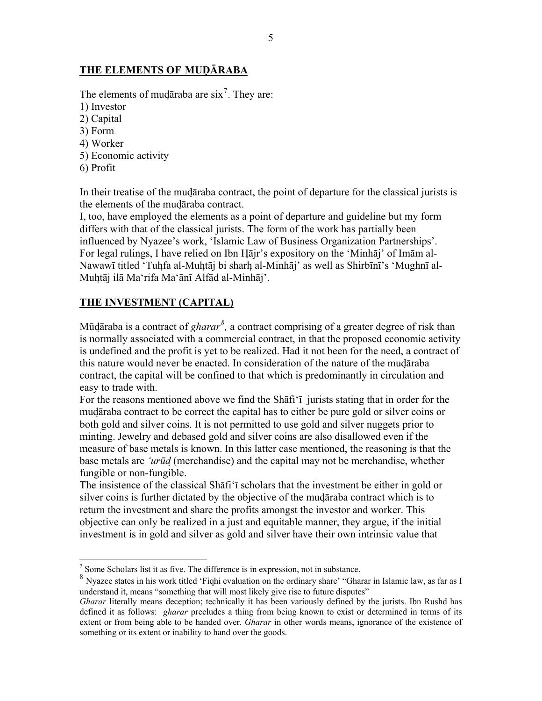## **THE ELEMENTS OF MUDĀRABA**

The elements of mudaraba are  $\sin^7$  $\sin^7$ . They are:

- 1) Investor
- 2) Capital
- 3) Form
- 4) Worker
- 5) Economic activity
- 6) Profit

 $\overline{a}$ 

In their treatise of the mudāraba contract, the point of departure for the classical jurists is the elements of the mudāraba contract.

I, too, have employed the elements as a point of departure and guideline but my form differs with that of the classical jurists. The form of the work has partially been influenced by Nyazee's work, 'Islamic Law of Business Organization Partnerships'. For legal rulings, I have relied on Ibn Hājr's expository on the 'Minhāj' of Imām al-Nawawī titled 'Tuhfa al-Muhtāj bi sharh al-Minhāj' as well as Shirbīnī's 'Mughnī al-Muhtāj ilā Ma'rifa Ma'ānī Alfād al-Minhāj'.

## **THE INVESTMENT (CAPITAL)**

Mūdāraba is a contract of *gharar[8](#page-4-1) ,* a contract comprising of a greater degree of risk than is normally associated with a commercial contract, in that the proposed economic activity is undefined and the profit is yet to be realized. Had it not been for the need, a contract of this nature would never be enacted. In consideration of the nature of the mudāraba contract, the capital will be confined to that which is predominantly in circulation and easy to trade with.

For the reasons mentioned above we find the Shāfi'ī jurists stating that in order for the mudāraba contract to be correct the capital has to either be pure gold or silver coins or both gold and silver coins. It is not permitted to use gold and silver nuggets prior to minting. Jewelry and debased gold and silver coins are also disallowed even if the measure of base metals is known. In this latter case mentioned, the reasoning is that the base metals are *'urūd* (merchandise) and the capital may not be merchandise, whether fungible or non-fungible.

The insistence of the classical Shāfi'ī scholars that the investment be either in gold or silver coins is further dictated by the objective of the mudāraba contract which is to return the investment and share the profits amongst the investor and worker. This objective can only be realized in a just and equitable manner, they argue, if the initial investment is in gold and silver as gold and silver have their own intrinsic value that

 $<sup>7</sup>$  Some Scholars list it as five. The difference is in expression, not in substance.</sup>

<span id="page-4-1"></span><span id="page-4-0"></span><sup>8</sup> Nyazee states in his work titled 'Fiqhi evaluation on the ordinary share' "Gharar in Islamic law, as far as I understand it, means "something that will most likely give rise to future disputes"

*Gharar* literally means deception; technically it has been variously defined by the jurists. Ibn Rushd has defined it as follows: *gharar* precludes a thing from being known to exist or determined in terms of its extent or from being able to be handed over. *Gharar* in other words means, ignorance of the existence of something or its extent or inability to hand over the goods.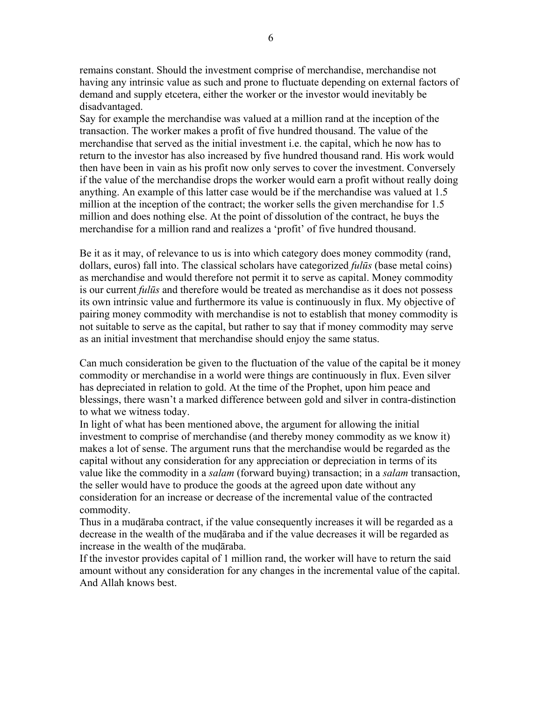remains constant. Should the investment comprise of merchandise, merchandise not having any intrinsic value as such and prone to fluctuate depending on external factors of demand and supply etcetera, either the worker or the investor would inevitably be disadvantaged.

Say for example the merchandise was valued at a million rand at the inception of the transaction. The worker makes a profit of five hundred thousand. The value of the merchandise that served as the initial investment i.e. the capital, which he now has to return to the investor has also increased by five hundred thousand rand. His work would then have been in vain as his profit now only serves to cover the investment. Conversely if the value of the merchandise drops the worker would earn a profit without really doing anything. An example of this latter case would be if the merchandise was valued at 1.5 million at the inception of the contract; the worker sells the given merchandise for 1.5 million and does nothing else. At the point of dissolution of the contract, he buys the merchandise for a million rand and realizes a 'profit' of five hundred thousand.

Be it as it may, of relevance to us is into which category does money commodity (rand, dollars, euros) fall into. The classical scholars have categorized *fulūs* (base metal coins) as merchandise and would therefore not permit it to serve as capital. Money commodity is our current *fulūs* and therefore would be treated as merchandise as it does not possess its own intrinsic value and furthermore its value is continuously in flux. My objective of pairing money commodity with merchandise is not to establish that money commodity is not suitable to serve as the capital, but rather to say that if money commodity may serve as an initial investment that merchandise should enjoy the same status.

Can much consideration be given to the fluctuation of the value of the capital be it money commodity or merchandise in a world were things are continuously in flux. Even silver has depreciated in relation to gold. At the time of the Prophet, upon him peace and blessings, there wasn't a marked difference between gold and silver in contra-distinction to what we witness today.

In light of what has been mentioned above, the argument for allowing the initial investment to comprise of merchandise (and thereby money commodity as we know it) makes a lot of sense. The argument runs that the merchandise would be regarded as the capital without any consideration for any appreciation or depreciation in terms of its value like the commodity in a *salam* (forward buying) transaction; in a *salam* transaction, the seller would have to produce the goods at the agreed upon date without any consideration for an increase or decrease of the incremental value of the contracted commodity.

Thus in a mudāraba contract, if the value consequently increases it will be regarded as a decrease in the wealth of the mudāraba and if the value decreases it will be regarded as increase in the wealth of the mudāraba.

If the investor provides capital of 1 million rand, the worker will have to return the said amount without any consideration for any changes in the incremental value of the capital. And Allah knows best.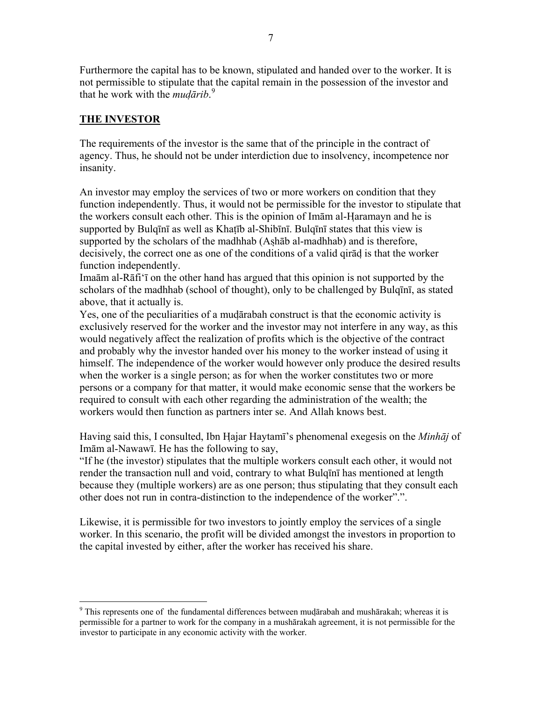Furthermore the capital has to be known, stipulated and handed over to the worker. It is not permissible to stipulate that the capital remain in the possession of the investor and that he work with the *mudārib*. [9](#page-6-0)

## **THE INVESTOR**

 $\overline{a}$ 

The requirements of the investor is the same that of the principle in the contract of agency. Thus, he should not be under interdiction due to insolvency, incompetence nor insanity.

An investor may employ the services of two or more workers on condition that they function independently. Thus, it would not be permissible for the investor to stipulate that the workers consult each other. This is the opinion of Imām al-Haramayn and he is supported by Bulqīnī as well as Khatīb al-Shibīnī. Bulqīnī states that this view is supported by the scholars of the madhhab (Ashāb al-madhhab) and is therefore, decisively, the correct one as one of the conditions of a valid qirād is that the worker function independently.

Imaām al-Rāfi'ī on the other hand has argued that this opinion is not supported by the scholars of the madhhab (school of thought), only to be challenged by Bulqīnī, as stated above, that it actually is.

Yes, one of the peculiarities of a mudārabah construct is that the economic activity is exclusively reserved for the worker and the investor may not interfere in any way, as this would negatively affect the realization of profits which is the objective of the contract and probably why the investor handed over his money to the worker instead of using it himself. The independence of the worker would however only produce the desired results when the worker is a single person; as for when the worker constitutes two or more persons or a company for that matter, it would make economic sense that the workers be required to consult with each other regarding the administration of the wealth; the workers would then function as partners inter se. And Allah knows best.

Having said this, I consulted, Ibn Hajar Haytamī's phenomenal exegesis on the *Minhāj* of Imām al-Nawawī. He has the following to say,

"If he (the investor) stipulates that the multiple workers consult each other, it would not render the transaction null and void, contrary to what Bulqīnī has mentioned at length because they (multiple workers) are as one person; thus stipulating that they consult each other does not run in contra-distinction to the independence of the worker".".

Likewise, it is permissible for two investors to jointly employ the services of a single worker. In this scenario, the profit will be divided amongst the investors in proportion to the capital invested by either, after the worker has received his share.

<span id="page-6-0"></span><sup>&</sup>lt;sup>9</sup> This represents one of the fundamental differences between mudārabah and mushārakah; whereas it is permissible for a partner to work for the company in a mushārakah agreement, it is not permissible for the investor to participate in any economic activity with the worker.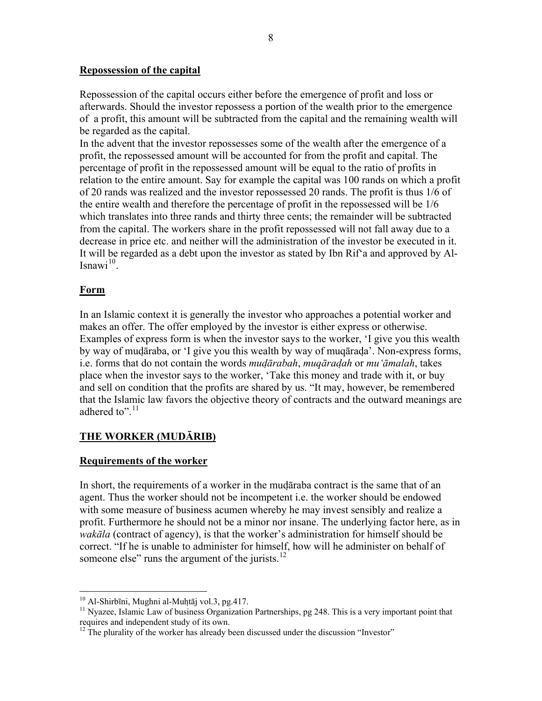#### **Repossession of the capital**

Repossession of the capital occurs either before the emergence of profit and loss or afterwards. Should the investor repossess a portion of the wealth prior to the emergence of a profit, this amount will be subtracted from the capital and the remaining wealth will be regarded as the capital.

In the advent that the investor repossesses some of the wealth after the emergence of a profit, the repossessed amount will be accounted for from the profit and capital. The percentage of profit in the repossessed amount will be equal to the ratio of profits in relation to the entire amount. Say for example the capital was 100 rands on which a profit of 20 rands was realized and the investor repossessed 20 rands. The profit is thus 1/6 of the entire wealth and therefore the percentage of profit in the repossessed will be 1/6 which translates into three rands and thirty three cents; the remainder will be subtracted from the capital. The workers share in the profit repossessed will not fall away due to a decrease in price etc. and neither will the administration of the investor be executed in it. It will be regarded as a debt upon the investor as stated by Ibn Rif'a and approved by Al-Isnawi $^{10}$  $^{10}$  $^{10}$ .

### **Form**

In an Islamic context it is generally the investor who approaches a potential worker and makes an offer. The offer employed by the investor is either express or otherwise. Examples of express form is when the investor says to the worker, 'I give you this wealth by way of mudāraba, or 'I give you this wealth by way of muqārada'. Non-express forms, i.e. forms that do not contain the words *mudārabah*, *muqāradah* or *mu'āmalah*, takes place when the investor says to the worker, 'Take this money and trade with it, or buy and sell on condition that the profits are shared by us. "It may, however, be remembered that the Islamic law favors the objective theory of contracts and the outward meanings are adhered to". $11$ 

#### **THE WORKER (MUDĀRIB)**

#### **Requirements of the worker**

In short, the requirements of a worker in the mudāraba contract is the same that of an agent. Thus the worker should not be incompetent i.e. the worker should be endowed with some measure of business acumen whereby he may invest sensibly and realize a profit. Furthermore he should not be a minor nor insane. The underlying factor here, as in *wakāla* (contract of agency), is that the worker's administration for himself should be correct. "If he is unable to administer for himself, how will he administer on behalf of someone else" runs the argument of the jurists. $^{12}$  $^{12}$  $^{12}$ 

 $^{10}$  Al-Shirbīni, Mughni al-Muhtāj vol.3, pg.417.

<span id="page-7-1"></span><span id="page-7-0"></span> $11$  Nyazee, Islamic Law of business Organization Partnerships, pg 248. This is a very important point that requires and independent study of its own.

<span id="page-7-2"></span> $12$ <sup>12</sup> The plurality of the worker has already been discussed under the discussion "Investor"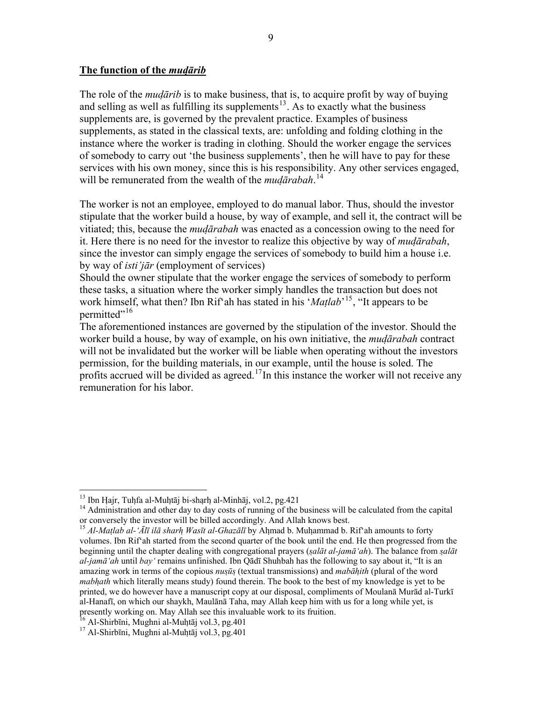#### **The function of the** *mudārib*

The role of the *mudārib* is to make business, that is, to acquire profit by way of buying and selling as well as fulfilling its supplements $13$ . As to exactly what the business supplements are, is governed by the prevalent practice. Examples of business supplements, as stated in the classical texts, are: unfolding and folding clothing in the instance where the worker is trading in clothing. Should the worker engage the services of somebody to carry out 'the business supplements', then he will have to pay for these services with his own money, since this is his responsibility. Any other services engaged, will be remunerated from the wealth of the *mudārabah*. [14](#page-8-1)

The worker is not an employee, employed to do manual labor. Thus, should the investor stipulate that the worker build a house, by way of example, and sell it, the contract will be vitiated; this, because the *mudārabah* was enacted as a concession owing to the need for it. Here there is no need for the investor to realize this objective by way of *mudārabah*, since the investor can simply engage the services of somebody to build him a house i.e. by way of *isti'jār* (employment of services)

Should the owner stipulate that the worker engage the services of somebody to perform these tasks, a situation where the worker simply handles the transaction but does not work himself, what then? Ibn Rif'ah has stated in his '*Matlab*' [15](#page-8-2), "It appears to be permitted"<sup>[16](#page-8-3)</sup>

The aforementioned instances are governed by the stipulation of the investor. Should the worker build a house, by way of example, on his own initiative, the *mudārabah* contract will not be invalidated but the worker will be liable when operating without the investors permission, for the building materials, in our example, until the house is soled. The profits accrued will be divided as agreed.<sup>[17](#page-8-4)</sup>In this instance the worker will not receive any remuneration for his labor.

<span id="page-8-0"></span><sup>&</sup>lt;sup>13</sup> Ibn Hajr, Tuhfa al-Muhtāj bi-sharh al-Minhāj, vol.2, pg.421

<span id="page-8-1"></span><sup>&</sup>lt;sup>14</sup> Administration and other day to day costs of running of the business will be calculated from the capital or conversely the investor will be billed accordingly. And Allah knows best.

<span id="page-8-2"></span><sup>&</sup>lt;sup>15</sup> Al-Matlab al-'Ālī ilā sharh Wasīt al-Ghazālī by Ahmad b. Muhammad b. Rif`ah amounts to forty volumes. Ibn Rif'ah started from the second quarter of the book until the end. He then progressed from the beginning until the chapter dealing with congregational prayers (*salāt al-jamā'ah*). The balance from *salāt al-jamā'ah* until *bay'* remains unfinished. Ibn Qādī Shuhbah has the following to say about it, "It is an amazing work in terms of the copious *nusūs* (textual transmissions) and *mabāhith* (plural of the word *mabhath* which literally means study) found therein. The book to the best of my knowledge is yet to be printed, we do however have a manuscript copy at our disposal, compliments of Moulanā Murād al-Turkī al-Hanafī, on which our shaykh, Maulānā Taha, may Allah keep him with us for a long while yet, is presently working on. May Allah see this invaluable work to its fruition.

<span id="page-8-3"></span>

<span id="page-8-4"></span> $17$  Al-Shirbīni, Mughni al-Muḥtāj vol.3, pg.401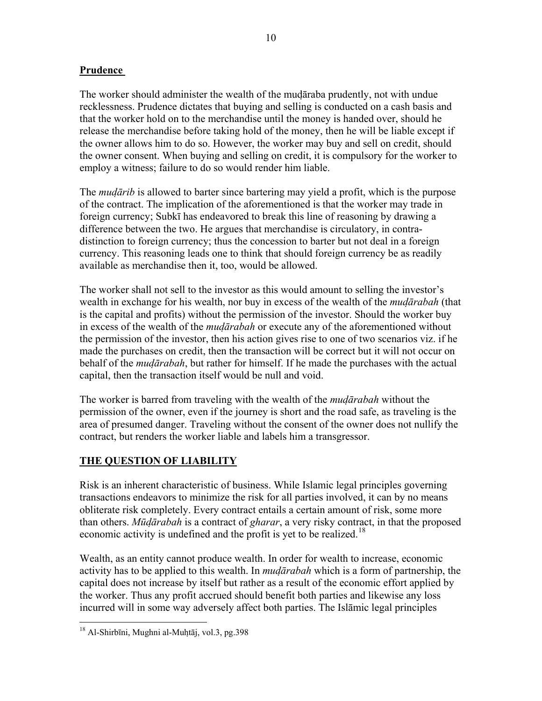### **Prudence**

The worker should administer the wealth of the mudāraba prudently, not with undue recklessness. Prudence dictates that buying and selling is conducted on a cash basis and that the worker hold on to the merchandise until the money is handed over, should he release the merchandise before taking hold of the money, then he will be liable except if the owner allows him to do so. However, the worker may buy and sell on credit, should the owner consent. When buying and selling on credit, it is compulsory for the worker to employ a witness; failure to do so would render him liable.

The *mudārib* is allowed to barter since bartering may yield a profit, which is the purpose of the contract. The implication of the aforementioned is that the worker may trade in foreign currency; Subkī has endeavored to break this line of reasoning by drawing a difference between the two. He argues that merchandise is circulatory, in contradistinction to foreign currency; thus the concession to barter but not deal in a foreign currency. This reasoning leads one to think that should foreign currency be as readily available as merchandise then it, too, would be allowed.

The worker shall not sell to the investor as this would amount to selling the investor's wealth in exchange for his wealth, nor buy in excess of the wealth of the *mudārabah* (that is the capital and profits) without the permission of the investor. Should the worker buy in excess of the wealth of the *mudārabah* or execute any of the aforementioned without the permission of the investor, then his action gives rise to one of two scenarios viz. if he made the purchases on credit, then the transaction will be correct but it will not occur on behalf of the *mudārabah*, but rather for himself. If he made the purchases with the actual capital, then the transaction itself would be null and void.

The worker is barred from traveling with the wealth of the *mudārabah* without the permission of the owner, even if the journey is short and the road safe, as traveling is the area of presumed danger. Traveling without the consent of the owner does not nullify the contract, but renders the worker liable and labels him a transgressor.

## **THE QUESTION OF LIABILITY**

Risk is an inherent characteristic of business. While Islamic legal principles governing transactions endeavors to minimize the risk for all parties involved, it can by no means obliterate risk completely. Every contract entails a certain amount of risk, some more than others. *Mūdārabah* is a contract of *gharar*, a very risky contract, in that the proposed economic activity is undefined and the profit is yet to be realized.<sup>[18](#page-9-0)</sup>

Wealth, as an entity cannot produce wealth. In order for wealth to increase, economic activity has to be applied to this wealth. In *mudārabah* which is a form of partnership, the capital does not increase by itself but rather as a result of the economic effort applied by the worker. Thus any profit accrued should benefit both parties and likewise any loss incurred will in some way adversely affect both parties. The Islāmic legal principles

 $\overline{a}$ 

<span id="page-9-0"></span><sup>18</sup> Al-Shirbīni, Mughni al-Muhtāj, vol.3, pg.398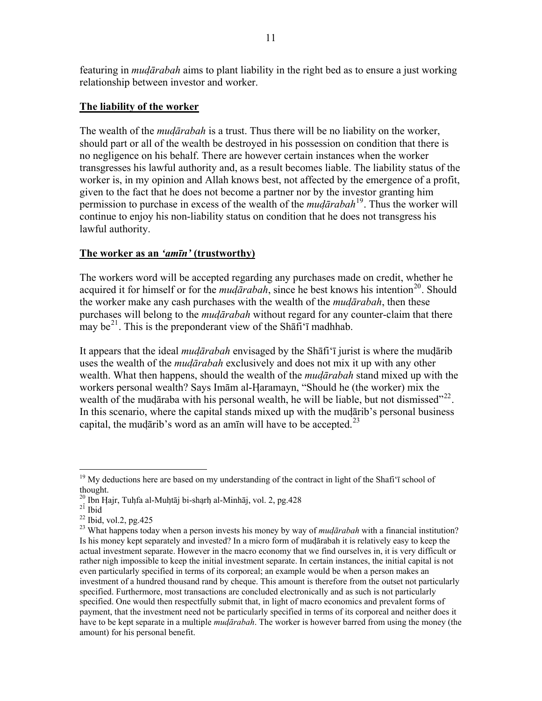featuring in *mudārabah* aims to plant liability in the right bed as to ensure a just working relationship between investor and worker.

### **The liability of the worker**

The wealth of the *mudārabah* is a trust. Thus there will be no liability on the worker, should part or all of the wealth be destroyed in his possession on condition that there is no negligence on his behalf. There are however certain instances when the worker transgresses his lawful authority and, as a result becomes liable. The liability status of the worker is, in my opinion and Allah knows best, not affected by the emergence of a profit, given to the fact that he does not become a partner nor by the investor granting him permission to purchase in excess of the wealth of the *mudārabah*[19](#page-10-0). Thus the worker will continue to enjoy his non-liability status on condition that he does not transgress his lawful authority.

### **The worker as an** *'amīn'* **(trustworthy)**

The workers word will be accepted regarding any purchases made on credit, whether he acquired it for himself or for the *mudārabah*, since he best knows his intention<sup>[20](#page-10-1)</sup>. Should the worker make any cash purchases with the wealth of the *mudārabah*, then these purchases will belong to the *mudārabah* without regard for any counter-claim that there may be<sup>[21](#page-10-2)</sup>. This is the preponderant view of the Shafi'i madhhab.

It appears that the ideal *mudārabah* envisaged by the Shāfi'ī jurist is where the mudārib uses the wealth of the *mudārabah* exclusively and does not mix it up with any other wealth. What then happens, should the wealth of the *mudārabah* stand mixed up with the workers personal wealth? Says Imām al-Haramayn, "Should he (the worker) mix the wealth of the mudāraba with his personal wealth, he will be liable, but not dismissed"<sup>[22](#page-10-3)</sup>. In this scenario, where the capital stands mixed up with the mudārib's personal business capital, the mudārib's word as an amīn will have to be accepted.<sup>[23](#page-10-4)</sup>

 $\overline{a}$ 

<span id="page-10-0"></span><sup>&</sup>lt;sup>19</sup> My deductions here are based on my understanding of the contract in light of the Shafi'ī school of thought.

<span id="page-10-1"></span><sup>20</sup> Ibn Hajr, Tuhfa al-Muhtāj bi-sharh al-Minhāj, vol. 2, pg.428 21 Ibid

<span id="page-10-3"></span><span id="page-10-2"></span> $22$  Ibid, vol.2, pg. 425

<span id="page-10-4"></span><sup>23</sup> What happens today when a person invests his money by way of *mudārabah* with a financial institution? Is his money kept separately and invested? In a micro form of mudārabah it is relatively easy to keep the actual investment separate. However in the macro economy that we find ourselves in, it is very difficult or rather nigh impossible to keep the initial investment separate. In certain instances, the initial capital is not even particularly specified in terms of its corporeal; an example would be when a person makes an investment of a hundred thousand rand by cheque. This amount is therefore from the outset not particularly specified. Furthermore, most transactions are concluded electronically and as such is not particularly specified. One would then respectfully submit that, in light of macro economics and prevalent forms of payment, that the investment need not be particularly specified in terms of its corporeal and neither does it have to be kept separate in a multiple *mudārabah*. The worker is however barred from using the money (the amount) for his personal benefit.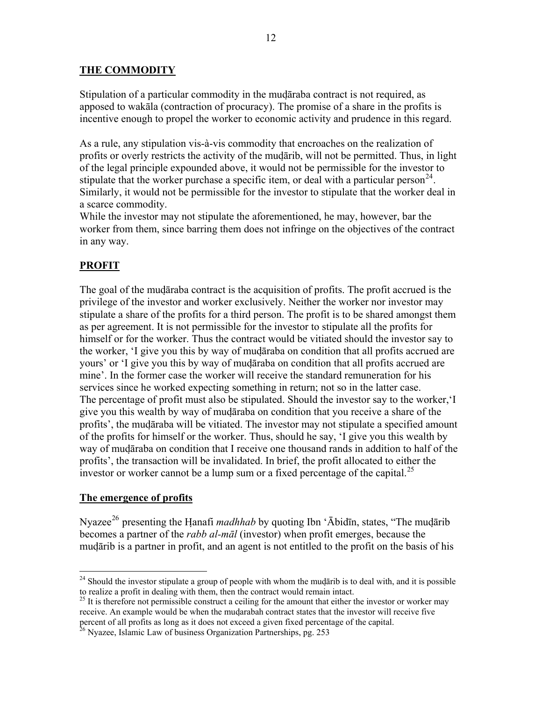### **THE COMMODITY**

Stipulation of a particular commodity in the mudāraba contract is not required, as apposed to wakāla (contraction of procuracy). The promise of a share in the profits is incentive enough to propel the worker to economic activity and prudence in this regard.

As a rule, any stipulation vis-à-vis commodity that encroaches on the realization of profits or overly restricts the activity of the mudārib, will not be permitted. Thus, in light of the legal principle expounded above, it would not be permissible for the investor to stipulate that the worker purchase a specific item, or deal with a particular person<sup>[24](#page-11-0)</sup>. Similarly, it would not be permissible for the investor to stipulate that the worker deal in a scarce commodity.

While the investor may not stipulate the aforementioned, he may, however, bar the worker from them, since barring them does not infringe on the objectives of the contract in any way.

## **PROFIT**

The goal of the mudāraba contract is the acquisition of profits. The profit accrued is the privilege of the investor and worker exclusively. Neither the worker nor investor may stipulate a share of the profits for a third person. The profit is to be shared amongst them as per agreement. It is not permissible for the investor to stipulate all the profits for himself or for the worker. Thus the contract would be vitiated should the investor say to the worker, 'I give you this by way of mudāraba on condition that all profits accrued are yours' or 'I give you this by way of mudāraba on condition that all profits accrued are mine'. In the former case the worker will receive the standard remuneration for his services since he worked expecting something in return; not so in the latter case. The percentage of profit must also be stipulated. Should the investor say to the worker,'I give you this wealth by way of mudāraba on condition that you receive a share of the profits', the mudāraba will be vitiated. The investor may not stipulate a specified amount of the profits for himself or the worker. Thus, should he say, 'I give you this wealth by way of mudāraba on condition that I receive one thousand rands in addition to half of the profits', the transaction will be invalidated. In brief, the profit allocated to either the investor or worker cannot be a lump sum or a fixed percentage of the capital.<sup>[25](#page-11-1)</sup>

#### **The emergence of profits**

 $\overline{a}$ 

Nyazee<sup>[26](#page-11-2)</sup> presenting the Hanafi *madhhab* by quoting Ibn 'Ābidīn, states, "The mudārib becomes a partner of the *rabb al-māl* (investor) when profit emerges, because the mudārib is a partner in profit, and an agent is not entitled to the profit on the basis of his

<span id="page-11-0"></span> $24$  Should the investor stipulate a group of people with whom the mudarib is to deal with, and it is possible to realize a profit in dealing with them, then the contract would remain intact.

<span id="page-11-1"></span> $^{25}$  It is therefore not permissible construct a ceiling for the amount that either the investor or worker may receive. An example would be when the mudarabah contract states that the investor will receive five percent of all profits as long as it does not exceed a given fixed percentage of the capital. 26 Nyazee, Islamic Law of business Organization Partnerships, pg. 253

<span id="page-11-2"></span>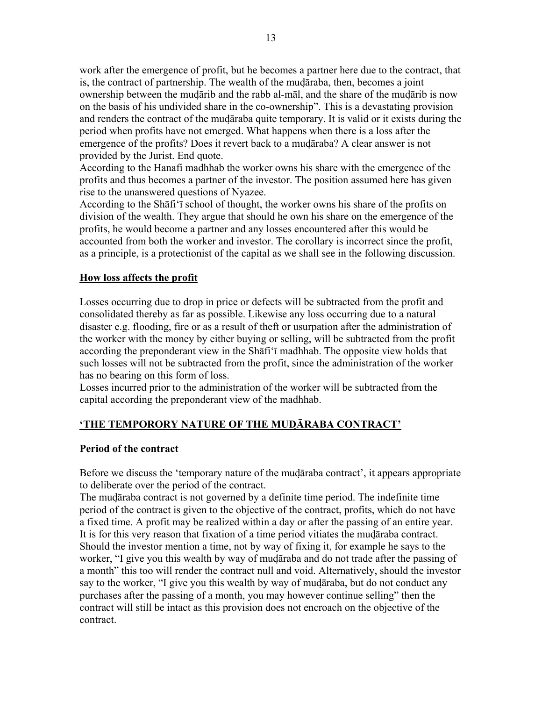work after the emergence of profit, but he becomes a partner here due to the contract, that is, the contract of partnership. The wealth of the mudāraba, then, becomes a joint ownership between the mudārib and the rabb al-māl, and the share of the mudārib is now on the basis of his undivided share in the co-ownership". This is a devastating provision and renders the contract of the mudāraba quite temporary. It is valid or it exists during the period when profits have not emerged. What happens when there is a loss after the emergence of the profits? Does it revert back to a mudāraba? A clear answer is not provided by the Jurist. End quote.

According to the Hanafi madhhab the worker owns his share with the emergence of the profits and thus becomes a partner of the investor. The position assumed here has given rise to the unanswered questions of Nyazee.

According to the Shāfi'ī school of thought, the worker owns his share of the profits on division of the wealth. They argue that should he own his share on the emergence of the profits, he would become a partner and any losses encountered after this would be accounted from both the worker and investor. The corollary is incorrect since the profit, as a principle, is a protectionist of the capital as we shall see in the following discussion.

### **How loss affects the profit**

Losses occurring due to drop in price or defects will be subtracted from the profit and consolidated thereby as far as possible. Likewise any loss occurring due to a natural disaster e.g. flooding, fire or as a result of theft or usurpation after the administration of the worker with the money by either buying or selling, will be subtracted from the profit according the preponderant view in the Shāfi'ī madhhab. The opposite view holds that such losses will not be subtracted from the profit, since the administration of the worker has no bearing on this form of loss.

Losses incurred prior to the administration of the worker will be subtracted from the capital according the preponderant view of the madhhab.

## **'THE TEMPORORY NATURE OF THE MUDĀRABA CONTRACT'**

#### **Period of the contract**

Before we discuss the 'temporary nature of the mudāraba contract', it appears appropriate to deliberate over the period of the contract.

The mudāraba contract is not governed by a definite time period. The indefinite time period of the contract is given to the objective of the contract, profits, which do not have a fixed time. A profit may be realized within a day or after the passing of an entire year. It is for this very reason that fixation of a time period vitiates the mudāraba contract. Should the investor mention a time, not by way of fixing it, for example he says to the worker, "I give you this wealth by way of mudāraba and do not trade after the passing of a month" this too will render the contract null and void. Alternatively, should the investor say to the worker, "I give you this wealth by way of mudāraba, but do not conduct any purchases after the passing of a month, you may however continue selling" then the contract will still be intact as this provision does not encroach on the objective of the contract.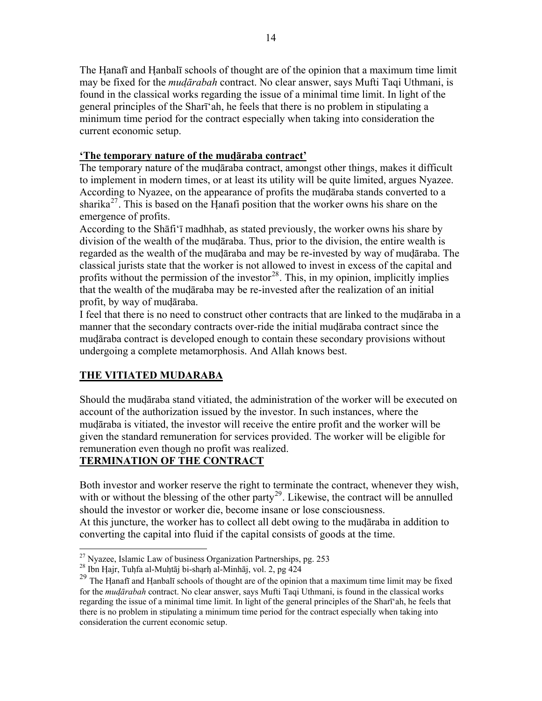The Hanafī and Hanbalī schools of thought are of the opinion that a maximum time limit may be fixed for the *mudārabah* contract. No clear answer, says Mufti Taqi Uthmani, is found in the classical works regarding the issue of a minimal time limit. In light of the general principles of the Sharī'ah, he feels that there is no problem in stipulating a minimum time period for the contract especially when taking into consideration the current economic setup.

## **'The temporary nature of the mudāraba contract'**

The temporary nature of the mudāraba contract, amongst other things, makes it difficult to implement in modern times, or at least its utility will be quite limited, argues Nyazee. According to Nyazee, on the appearance of profits the mudāraba stands converted to a sharika<sup>[27](#page-13-0)</sup>. This is based on the Hanafi position that the worker owns his share on the emergence of profits.

According to the Shāfi'ī madhhab, as stated previously, the worker owns his share by division of the wealth of the mudāraba. Thus, prior to the division, the entire wealth is regarded as the wealth of the mudāraba and may be re-invested by way of mudāraba. The classical jurists state that the worker is not allowed to invest in excess of the capital and profits without the permission of the investor<sup>[28](#page-13-1)</sup>. This, in my opinion, implicitly implies that the wealth of the mudāraba may be re-invested after the realization of an initial profit, by way of mudāraba.

I feel that there is no need to construct other contracts that are linked to the mudāraba in a manner that the secondary contracts over-ride the initial mudāraba contract since the mudāraba contract is developed enough to contain these secondary provisions without undergoing a complete metamorphosis. And Allah knows best.

## **THE VITIATED MUDARABA**

Should the mudāraba stand vitiated, the administration of the worker will be executed on account of the authorization issued by the investor. In such instances, where the mudāraba is vitiated, the investor will receive the entire profit and the worker will be given the standard remuneration for services provided. The worker will be eligible for remuneration even though no profit was realized.

# **TERMINATION OF THE CONTRACT**

Both investor and worker reserve the right to terminate the contract, whenever they wish, with or without the blessing of the other party<sup>[29](#page-13-2)</sup>. Likewise, the contract will be annulled should the investor or worker die, become insane or lose consciousness. At this juncture, the worker has to collect all debt owing to the mudāraba in addition to converting the capital into fluid if the capital consists of goods at the time.

<span id="page-13-0"></span> $27$  Nvazee, Islamic Law of business Organization Partnerships, pg. 253

<span id="page-13-1"></span><sup>&</sup>lt;sup>28</sup> Ibn Hajr, Tuhfa al-Muhtāj bi-sharh al-Minhāj, vol. 2, pg 424

<span id="page-13-2"></span><sup>&</sup>lt;sup>29</sup> The Hanafī and Hanbalī schools of thought are of the opinion that a maximum time limit may be fixed for the *mudārabah* contract. No clear answer, says Mufti Taqi Uthmani, is found in the classical works regarding the issue of a minimal time limit. In light of the general principles of the Sharī'ah, he feels that there is no problem in stipulating a minimum time period for the contract especially when taking into consideration the current economic setup.